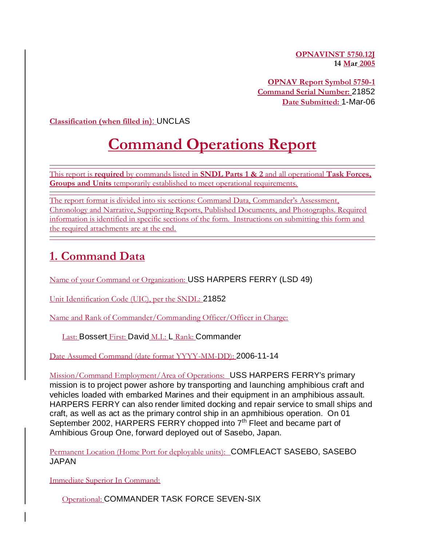**OPNAVINST 5750.12J 14 Mar 2005**

**OPNAV Report Symbol 5750-1 Command Serial Number:** 21852 **Date Submitted:** 1-Mar-06

**Classification (when filled in**): UNCLAS

# **Command Operations Report**

This report is **required** by commands listed in **SNDL Parts 1 & 2** and all operational **Task Forces, Groups and Units** temporarily established to meet operational requirements.

The report format is divided into six sections: Command Data, Commander's Assessment, Chronology and Narrative, Supporting Reports, Published Documents, and Photographs. Required information is identified in specific sections of the form. Instructions on submitting this form and the required attachments are at the end.

### **1. Command Data**

Name of your Command or Organization: USS HARPERS FERRY (LSD 49)

Unit Identification Code (UIC), per the SNDL: 21852

Name and Rank of Commander/Commanding Officer/Officer in Charge:

Last: Bossert First: David M.I.: L Rank: Commander

Date Assumed Command (date format YYYY-MM-DD): 2006-11-14

Mission/Command Employment/Area of Operations: USS HARPERS FERRY's primary mission is to project power ashore by transporting and launching amphibious craft and vehicles loaded with embarked Marines and their equipment in an amphibious assault. HARPERS FERRY can also render limited docking and repair service to small ships and craft, as well as act as the primary control ship in an apmhibious operation. On 01 September 2002, HARPERS FERRY chopped into 7<sup>th</sup> Fleet and became part of Amhibious Group One, forward deployed out of Sasebo, Japan.

Permanent Location (Home Port for deployable units): COMFLEACT SASEBO, SASEBO JAPAN

Immediate Superior In Command:

Operational: COMMANDER TASK FORCE SEVEN-SIX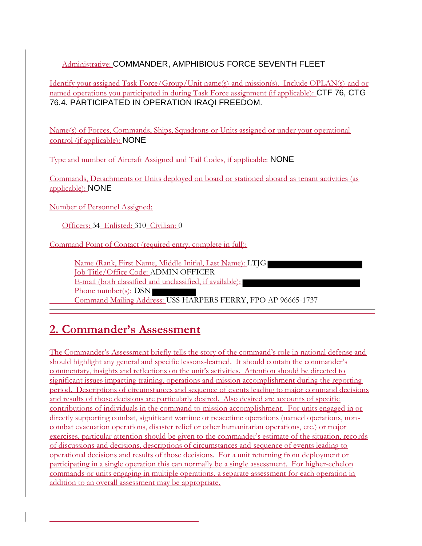### Administrative: COMMANDER, AMPHIBIOUS FORCE SEVENTH FLEET

Identify your assigned Task Force/Group/Unit name(s) and mission(s). Include OPLAN(s) and or named operations you participated in during Task Force assignment (if applicable): CTF 76, CTG 76.4. PARTICIPATED IN OPERATION IRAQI FREEDOM.

Name(s) of Forces, Commands, Ships, Squadrons or Units assigned or under your operational control (if applicable): NONE

Type and number of Aircraft Assigned and Tail Codes, if applicable: NONE

Commands, Detachments or Units deployed on board or stationed aboard as tenant activities (as applicable): NONE

Number of Personnel Assigned:

Officers: 34 Enlisted: 310 Civilian: 0

Command Point of Contact (required entry, complete in full):

Name (Rank, First Name, Middle Initial, Last Name): LTJG Job Title/Office Code: ADMIN OFFICER E-mail (both classified and unclassified, if available): Phone number(s): DSN Command Mailing Address: USS HARPERS FERRY, FPO AP 96665-1737

# **2. Commander's Assessment**

The Commander's Assessment briefly tells the story of the command's role in national defense and should highlight any general and specific lessons-learned. It should contain the commander's commentary, insights and reflections on the unit's activities. Attention should be directed to significant issues impacting training, operations and mission accomplishment during the reporting period. Descriptions of circumstances and sequence of events leading to major command decisions and results of those decisions are particularly desired. Also desired are accounts of specific contributions of individuals in the command to mission accomplishment. For units engaged in or directly supporting combat, significant wartime or peacetime operations (named operations, noncombat evacuation operations, disaster relief or other humanitarian operations, etc.) or major exercises, particular attention should be given to the commander's estimate of the situation, records of discussions and decisions, descriptions of circumstances and sequence of events leading to operational decisions and results of those decisions. For a unit returning from deployment or participating in a single operation this can normally be a single assessment. For higher-echelon commands or units engaging in multiple operations, a separate assessment for each operation in addition to an overall assessment may be appropriate.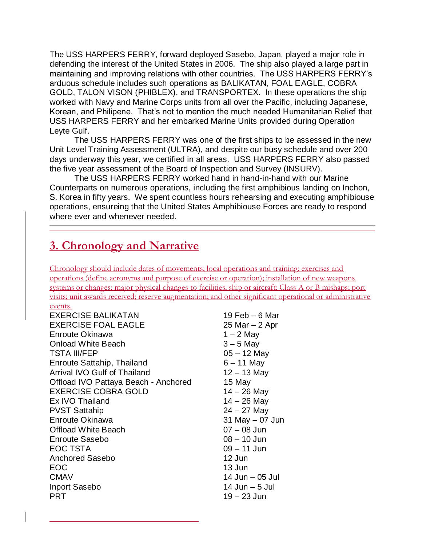The USS HARPERS FERRY, forward deployed Sasebo, Japan, played a major role in defending the interest of the United States in 2006. The ship also played a large part in maintaining and improving relations with other countries. The USS HARPERS FERRY's arduous schedule includes such operations as BALIKATAN, FOAL EAGLE, COBRA GOLD, TALON VISON (PHIBLEX), and TRANSPORTEX. In these operations the ship worked with Navy and Marine Corps units from all over the Pacific, including Japanese, Korean, and Philipene. That's not to mention the much needed Humanitarian Relief that USS HARPERS FERRY and her embarked Marine Units provided during Operation Leyte Gulf.

The USS HARPERS FERRY was one of the first ships to be assessed in the new Unit Level Training Assessment (ULTRA), and despite our busy schedule and over 200 days underway this year, we certified in all areas. USS HARPERS FERRY also passed the five year assessment of the Board of Inspection and Survey (INSURV).

The USS HARPERS FERRY worked hand in hand-in-hand with our Marine Counterparts on numerous operations, including the first amphibious landing on Inchon, S. Korea in fifty years. We spent countless hours rehearsing and executing amphibiouse operations, ensureing that the United States Amphibiouse Forces are ready to respond where ever and whenever needed.

### **3. Chronology and Narrative**

Chronology should include dates of movements; local operations and training; exercises and operations (define acronyms and purpose of exercise or operation); installation of new weapons systems or changes; major physical changes to facilities, ship or aircraft; Class A or B mishaps; port visits; unit awards received; reserve augmentation; and other significant operational or administrative

#### events.

| <b>EXERCISE BALIKATAN</b>            | 19 Feb    |
|--------------------------------------|-----------|
| <b>EXERCISE FOAL EAGLE</b>           | 25 Mar    |
| Enroute Okinawa                      | $1 - 2N$  |
| <b>Onload White Beach</b>            | $3 - 5N$  |
| <b>TSTA III/FEP</b>                  | $05 - 12$ |
| Enroute Sattahip, Thailand           | $6 - 11$  |
| Arrival IVO Gulf of Thailand         | $12 - 13$ |
| Offload IVO Pattaya Beach - Anchored | 15 May    |
| <b>EXERCISE COBRA GOLD</b>           | $14 - 26$ |
| Ex IVO Thailand                      | $14 - 26$ |
| <b>PVST Sattahip</b>                 | $24 - 27$ |
| Enroute Okinawa                      | 31 May    |
| <b>Offload White Beach</b>           | $07 - 08$ |
| <b>Enroute Sasebo</b>                | $08 - 10$ |
| <b>EOC TSTA</b>                      | $09 - 1'$ |
| Anchored Sasebo                      | 12 Jun    |
| <b>EOC</b>                           | 13 Jun    |
| <b>CMAV</b>                          | 14 Jun    |
| Inport Sasebo                        | 14 Jun    |
| <b>PRT</b>                           | $19 - 23$ |

 $9$  Feb – 6 Mar  $25$  Mar – 2 Apr  $-2$  May  $3 - 5$  May 05 – 12 May  $5 - 11$  May  $12 - 13$  May 15 May  $4 - 26$  May  $4 - 26$  May 24 – 27 May 81 May – 07 Jun 07 – 08 Jun  $R = 10$  Jun 09 – 11 Jun  $4$  Jun – 05 Jul  $4$  Jun – 5 Jul  $9 - 23$  Jun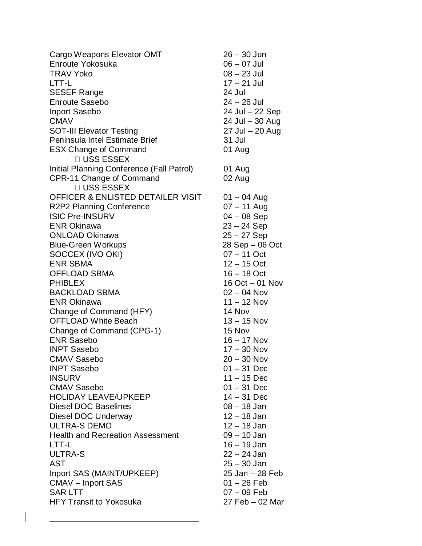Cargo Weapons Elevator OMT 26 – 30 Jun Enroute Yokosuka 06 – 07 Jul TRAV Yoko 08 – 23 Jul LTT-L 17 – 21 Jul SESEF Range 24 Jul Enroute Sasebo 24 – 26 Jul Inport Sasebo 24 Jul – 22 Sep CMAV 24 Jul – 30 Aug SOT-III Elevator Testing 27 Jul – 20 Aug Peninsula Intel Estimate Brief 31 Jul ESX Change of Command 01 Aug **USS ESSEX** Initial Planning Conference (Fall Patrol) 01 Aug CPR-11 Change of Command 02 Aug **□ USS ESSEX** OFFICER & ENLISTED DETAILER VISIT 01 – 04 Aug R2P2 Planning Conference 07 – 11 Aug ISIC Pre-INSURV 04 – 08 Sep ENR Okinawa 23 – 24 Sep ONLOAD Okinawa 25 – 27 Sep Blue-Green Workups 28 Sep – 06 Oct SOCCEX (IVO OKI) 07 – 11 Oct ENR SBMA 12 – 15 Oct OFFLOAD SBMA 16 – 18 Oct PHIBLEX 16 Oct – 01 Nov BACKLOAD SBMA 02 – 04 Nov ENR Okinawa 11 – 12 Nov Change of Command (HFY) 14 Nov OFFLOAD White Beach 13 – 15 Nov Change of Command (CPG-1) 15 Nov ENR Sasebo 16 – 17 Nov INPT Sasebo 17 – 30 Nov CMAV Sasebo 20 – 30 Nov INPT Sasebo 01 – 31 Dec INSURV 11 – 15 Dec CMAV Sasebo 01 – 31 Dec HOLIDAY LEAVE/UPKEEP 14 – 31 Dec Diesel DOC Baselines 6 (08 – 18 Jan Diesel DOC Underway 12 – 18 Jan ULTRA-S DEMO 12 – 18 Jan Health and Recreation Assessment 09 – 10 Jan LTT-L 16 – 19 Jan ULTRA-S 22 – 24 Jan AST 25 – 30 Jan Inport SAS (MAINT/UPKEEP) 25 Jan – 28 Feb CMAV – Inport SAS 01 – 26 Feb SAR LTT  $07 - 09$  Feb HFY Transit to Yokosuka 27 Feb – 02 Mar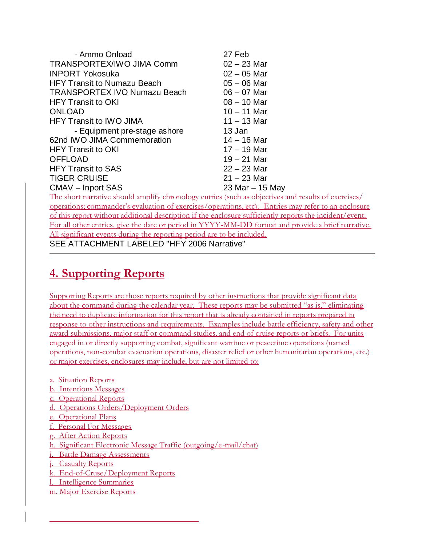| - Ammo Onload                                                                      | 27 Feb            |
|------------------------------------------------------------------------------------|-------------------|
| TRANSPORTEX/IWO JIMA Comm                                                          | $02 - 23$ Mar     |
| <b>INPORT Yokosuka</b>                                                             | $02 - 05$ Mar     |
| <b>HFY Transit to Numazu Beach</b>                                                 | $05 - 06$ Mar     |
| <b>TRANSPORTEX IVO Numazu Beach</b>                                                | $06 - 07$ Mar     |
| <b>HFY Transit to OKI</b>                                                          | $08 - 10$ Mar     |
| <b>ONLOAD</b>                                                                      | $10 - 11$ Mar     |
| <b>HFY Transit to IWO JIMA</b>                                                     | $11 - 13$ Mar     |
| - Equipment pre-stage ashore                                                       | 13 Jan            |
| 62nd IWO JIMA Commemoration                                                        | $14 - 16$ Mar     |
| <b>HFY Transit to OKI</b>                                                          | $17 - 19$ Mar     |
| <b>OFFLOAD</b>                                                                     | $19 - 21$ Mar     |
| <b>HFY Transit to SAS</b>                                                          | $22 - 23$ Mar     |
| <b>TIGER CRUISE</b>                                                                | $21 - 23$ Mar     |
| <b>CMAV</b> – Inport SAS                                                           | 23 Mar $-$ 15 May |
| The short parative should amplify chronology entries (such as objectives and resul |                   |

chronology entries (such as objectives and results of exercises/ operations; commander's evaluation of exercises/operations, etc). Entries may refer to an enclosure of this report without additional description if the enclosure sufficiently reports the incident/event. For all other entries, give the date or period in YYYY-MM-DD format and provide a brief narrative. All significant events during the reporting period are to be included.

SEE ATTACHMENT LABELED "HFY 2006 Narrative"

### **4. Supporting Reports**

Supporting Reports are those reports required by other instructions that provide significant data about the command during the calendar year. These reports may be submitted "as is," eliminating the need to duplicate information for this report that is already contained in reports prepared in response to other instructions and requirements. Examples include battle efficiency, safety and other award submissions, major staff or command studies, and end of cruise reports or briefs. For units engaged in or directly supporting combat, significant wartime or peacetime operations (named operations, non-combat evacuation operations, disaster relief or other humanitarian operations, etc.) or major exercises, enclosures may include, but are not limited to:

a. Situation Reports

- b. Intentions Messages
- c. Operational Reports
- d. Operations Orders/Deployment Orders
- e. Operational Plans
- f. Personal For Messages
- g. After Action Reports
- h. Significant Electronic Message Traffic (outgoing/e-mail/chat)
- i. Battle Damage Assessments
- j. Casualty Reports
- k. End-of-Cruse/Deployment Reports
- l. Intelligence Summaries
- m. Major Exercise Reports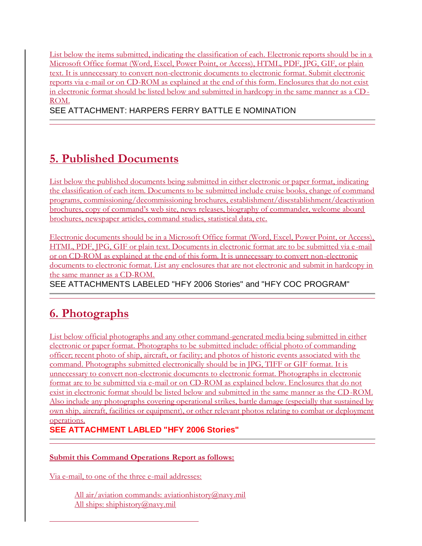List below the items submitted, indicating the classification of each. Electronic reports should be in a Microsoft Office format (Word, Excel, Power Point, or Access), HTML, PDF, JPG, GIF, or plain text. It is unnecessary to convert non-electronic documents to electronic format. Submit electronic reports via e-mail or on CD-ROM as explained at the end of this form. Enclosures that do not exist in electronic format should be listed below and submitted in hardcopy in the same manner as a CD-ROM.

SEE ATTACHMENT: HARPERS FERRY BATTLE E NOMINATION

# **5. Published Documents**

List below the published documents being submitted in either electronic or paper format, indicating the classification of each item. Documents to be submitted include cruise books, change of command programs, commissioning/decommissioning brochures, establishment/disestablishment/deactivation brochures, copy of command's web site, news releases, biography of commander, welcome aboard brochures, newspaper articles, command studies, statistical data, etc.

Electronic documents should be in a Microsoft Office format (Word, Excel, Power Point, or Access), HTML, PDF, JPG, GIF or plain text. Documents in electronic format are to be submitted via e -mail or on CD-ROM as explained at the end of this form. It is unnecessary to convert non-electronic documents to electronic format. List any enclosures that are not electronic and submit in hardcopy in the same manner as a CD-ROM.

SEE ATTACHMENTS LABELED "HFY 2006 Stories" and "HFY COC PROGRAM"

# **6. Photographs**

List below official photographs and any other command-generated media being submitted in either electronic or paper format. Photographs to be submitted include: official photo of commanding officer; recent photo of ship, aircraft, or facility; and photos of historic events associated with the command. Photographs submitted electronically should be in JPG, TIFF or GIF format. It is unnecessary to convert non-electronic documents to electronic format. Photographs in electronic format are to be submitted via e-mail or on CD-ROM as explained below. Enclosures that do not exist in electronic format should be listed below and submitted in the same manner as the CD-ROM. Also include any photographs covering operational strikes, battle damage (especially that sustained by own ship, aircraft, facilities or equipment), or other relevant photos relating to combat or deployment operations.

**SEE ATTACHMENT LABLED "HFY 2006 Stories"**

### **Submit this Command Operations Report as follows:**

Via e-mail, to one of the three e-mail addresses:

All air/aviation commands: aviationhistory@navy.mil All ships: shiphistory@navy.mil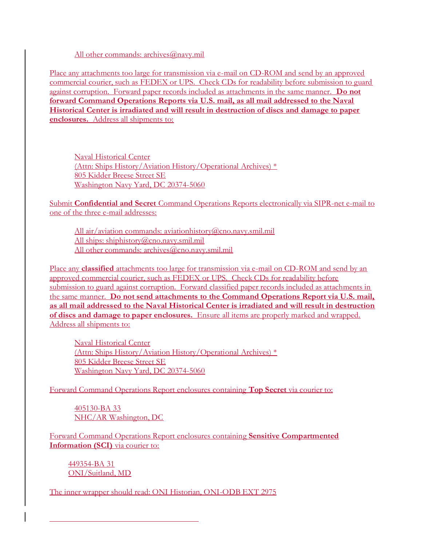All other commands: archives@navy.mil

Place any attachments too large for transmission via e-mail on CD-ROM and send by an approved commercial courier, such as FEDEX or UPS. Check CDs for readability before submission to guard against corruption. Forward paper records included as attachments in the same manner. **Do not forward Command Operations Reports via U.S. mail, as all mail addressed to the Naval Historical Center is irradiated and will result in destruction of discs and damage to paper enclosures.** Address all shipments to:

Naval Historical Center (Attn: Ships History/Aviation History/Operational Archives) \* 805 Kidder Breese Street SE Washington Navy Yard, DC 20374-5060

Submit **Confidential and Secret** Command Operations Reports electronically via SIPR-net e-mail to one of the three e-mail addresses:

All air/aviation commands: aviationhistory@cno.navy.smil.mil All ships: shiphistory@cno.navy.smil.mil All other commands: archives@cno.navy.smil.mil

Place any **classified** attachments too large for transmission via e-mail on CD-ROM and send by an approved commercial courier, such as FEDEX or UPS. Check CDs for readability before submission to guard against corruption. Forward classified paper records included as attachments in the same manner. **Do not send attachments to the Command Operations Report via U.S. mail, as all mail addressed to the Naval Historical Center is irradiated and will result in destruction of discs and damage to paper enclosures.** Ensure all items are properly marked and wrapped. Address all shipments to:

Naval Historical Center (Attn: Ships History/Aviation History/Operational Archives) \* 805 Kidder Breese Street SE Washington Navy Yard, DC 20374-5060

Forward Command Operations Report enclosures containing **Top Secret** via courier to:

405130-BA 33 NHC/AR Washington, DC

Forward Command Operations Report enclosures containing **Sensitive Compartmented Information (SCI)** via courier to:

449354-BA 31 ONI/Suitland, MD

The inner wrapper should read: ONI Historian, ONI-ODB EXT 2975